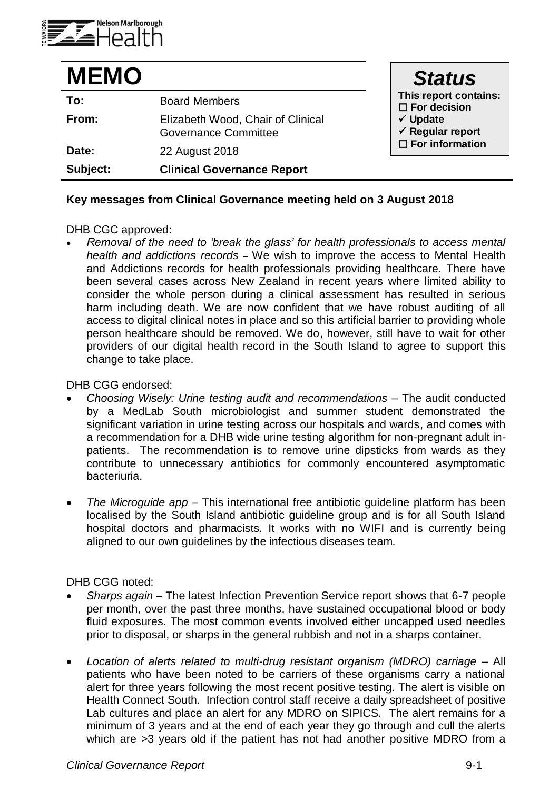

| <b>MEMO</b> |                                                                  | <b>Status</b>                                                                                                                      |
|-------------|------------------------------------------------------------------|------------------------------------------------------------------------------------------------------------------------------------|
| To:         | <b>Board Members</b>                                             | This report contains:<br>$\square$ For decision<br>$\checkmark$ Update<br>$\checkmark$ Regular report<br>$\square$ For information |
| From:       | Elizabeth Wood, Chair of Clinical<br><b>Governance Committee</b> |                                                                                                                                    |
| Date:       | 22 August 2018                                                   |                                                                                                                                    |
| Subject:    | <b>Clinical Governance Report</b>                                |                                                                                                                                    |

## **Key messages from Clinical Governance meeting held on 3 August 2018**

## DHB CGC approved:

 *Removal of the need to 'break the glass' for health professionals to access mental health and addictions records –* We wish to improve the access to Mental Health and Addictions records for health professionals providing healthcare. There have been several cases across New Zealand in recent years where limited ability to consider the whole person during a clinical assessment has resulted in serious harm including death. We are now confident that we have robust auditing of all access to digital clinical notes in place and so this artificial barrier to providing whole person healthcare should be removed. We do, however, still have to wait for other providers of our digital health record in the South Island to agree to support this change to take place.

DHB CGG endorsed:

- *Choosing Wisely: Urine testing audit and recommendations* The audit conducted by a MedLab South microbiologist and summer student demonstrated the significant variation in urine testing across our hospitals and wards, and comes with a recommendation for a DHB wide urine testing algorithm for non-pregnant adult inpatients. The recommendation is to remove urine dipsticks from wards as they contribute to unnecessary antibiotics for commonly encountered asymptomatic bacteriuria.
- *The Microguide app* This international free antibiotic guideline platform has been localised by the South Island antibiotic guideline group and is for all South Island hospital doctors and pharmacists. It works with no WIFI and is currently being aligned to our own guidelines by the infectious diseases team.

DHB CGG noted:

- *Sharps again* The latest Infection Prevention Service report shows that 6-7 people per month, over the past three months, have sustained occupational blood or body fluid exposures. The most common events involved either uncapped used needles prior to disposal, or sharps in the general rubbish and not in a sharps container.
- *Location of alerts related to multi-drug resistant organism (MDRO) carriage* All patients who have been noted to be carriers of these organisms carry a national alert for three years following the most recent positive testing. The alert is visible on Health Connect South. Infection control staff receive a daily spreadsheet of positive Lab cultures and place an alert for any MDRO on SIPICS. The alert remains for a minimum of 3 years and at the end of each year they go through and cull the alerts which are >3 years old if the patient has not had another positive MDRO from a